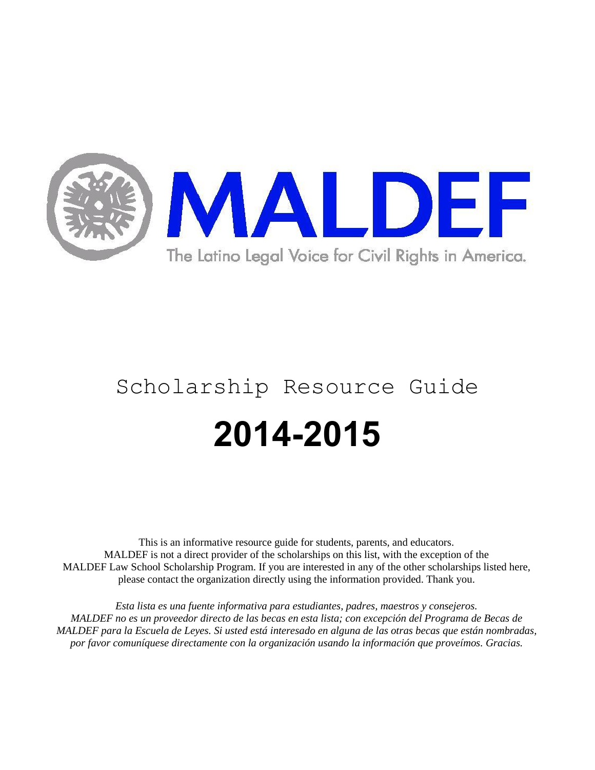

# Scholarship Resource Guide **2014-2015**

This is an informative resource guide for students, parents, and educators. MALDEF is not a direct provider of the scholarships on this list, with the exception of the MALDEF Law School Scholarship Program. If you are interested in any of the other scholarships listed here, please contact the organization directly using the information provided. Thank you.

*Esta lista es una fuente informativa para estudiantes, padres, maestros y consejeros. MALDEF no es un proveedor directo de las becas en esta lista; con excepción del Programa de Becas de MALDEF para la Escuela de Leyes. Si usted está interesado en alguna de las otras becas que están nombradas, por favor comuníquese directamente con la organización usando la información que proveímos. Gracias.*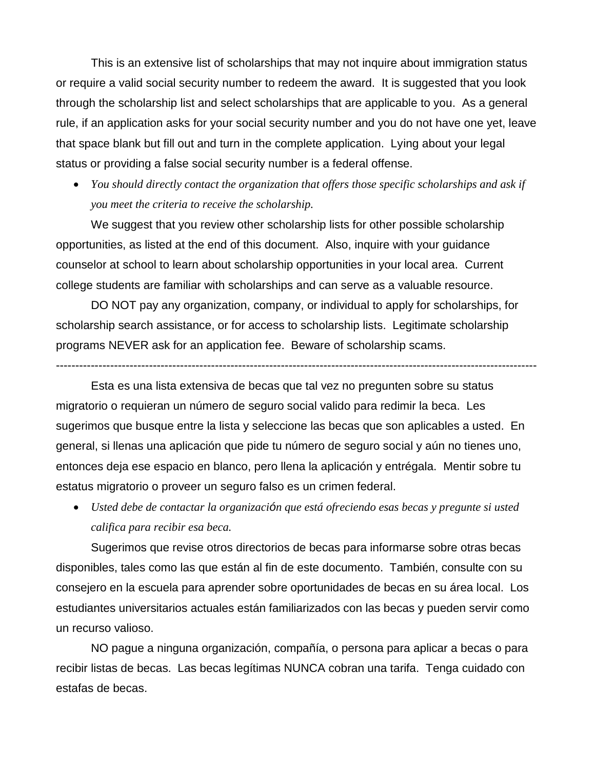This is an extensive list of scholarships that may not inquire about immigration status or require a valid social security number to redeem the award. It is suggested that you look through the scholarship list and select scholarships that are applicable to you. As a general rule, if an application asks for your social security number and you do not have one yet, leave that space blank but fill out and turn in the complete application. Lying about your legal status or providing a false social security number is a federal offense.

 *You should directly contact the organization that offers those specific scholarships and ask if you meet the criteria to receive the scholarship.*

We suggest that you review other scholarship lists for other possible scholarship opportunities, as listed at the end of this document. Also, inquire with your guidance counselor at school to learn about scholarship opportunities in your local area. Current college students are familiar with scholarships and can serve as a valuable resource.

DO NOT pay any organization, company, or individual to apply for scholarships, for scholarship search assistance, or for access to scholarship lists. Legitimate scholarship programs NEVER ask for an application fee. Beware of scholarship scams.

----------------------------------------------------------------------------------------------------------------------------

Esta es una lista extensiva de becas que tal vez no pregunten sobre su status migratorio o requieran un número de seguro social valido para redimir la beca. Les sugerimos que busque entre la lista y seleccione las becas que son aplicables a usted. En general, si llenas una aplicación que pide tu número de seguro social y aún no tienes uno, entonces deja ese espacio en blanco, pero llena la aplicación y entrégala. Mentir sobre tu estatus migratorio o proveer un seguro falso es un crimen federal.

 *Usted debe de contactar la organización que está ofreciendo esas becas y pregunte si usted califica para recibir esa beca.*

Sugerimos que revise otros directorios de becas para informarse sobre otras becas disponibles, tales como las que están al fin de este documento. También, consulte con su consejero en la escuela para aprender sobre oportunidades de becas en su área local. Los estudiantes universitarios actuales están familiarizados con las becas y pueden servir como un recurso valioso.

NO pague a ninguna organización, compañía, o persona para aplicar a becas o para recibir listas de becas. Las becas legítimas NUNCA cobran una tarifa. Tenga cuidado con estafas de becas.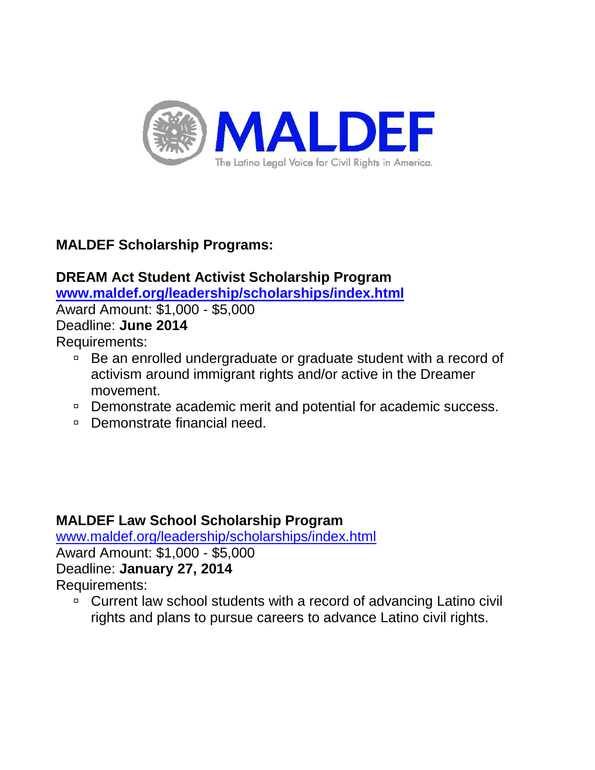

# **MALDEF Scholarship Programs:**

# **DREAM Act Student Activist Scholarship Program [www.maldef.org/leadership/scholarships/index.html](http://www.maldef.org/leadership/scholarships/index.html)** Award Amount: \$1,000 - \$5,000 Deadline: **June 2014**

Requirements:

- Be an enrolled undergraduate or graduate student with a record of activism around immigrant rights and/or active in the Dreamer movement.
- □ Demonstrate academic merit and potential for academic success.
- □ Demonstrate financial need.

# **MALDEF Law School Scholarship Program**

[www.maldef.org/leadership/scholarships/index.html](http://www.maldef.org/leadership/scholarships/index.html)

Award Amount: \$1,000 - \$5,000 Deadline: **January 27, 2014**

Requirements:

□ Current law school students with a record of advancing Latino civil rights and plans to pursue careers to advance Latino civil rights.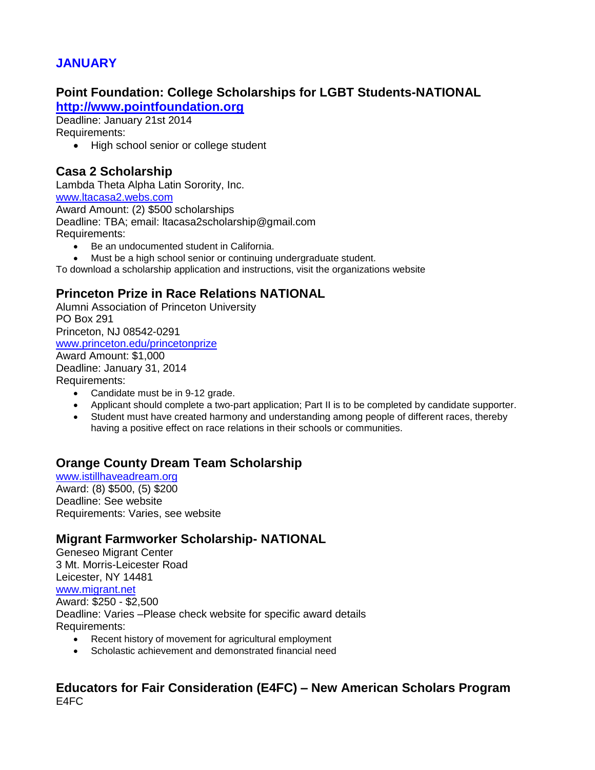# **JANUARY**

#### **Point Foundation: College Scholarships for LGBT Students-NATIONAL [http://www.pointfoundation.org](http://www.pointfoundation.org/)**

Deadline: January 21st 2014

Requirements:

• High school senior or college student

# **Casa 2 Scholarship**

Lambda Theta Alpha Latin Sorority, Inc. [www.ltacasa2.webs.com](http://www.ltacasa2.webs.com/) Award Amount: (2) \$500 scholarships Deadline: TBA; email: ltacasa2scholarship@gmail.com Requirements:

- Be an undocumented student in California.
- Must be a high school senior or continuing undergraduate student.

To download a scholarship application and instructions, visit the organizations website

# **Princeton Prize in Race Relations NATIONAL**

Alumni Association of Princeton University PO Box 291 Princeton, NJ 08542-0291 [www.princeton.edu/princetonprize](http://www.princeton.edu/princetonprize) Award Amount: \$1,000 Deadline: January 31, 2014 Requirements:

- Candidate must be in 9-12 grade.
- Applicant should complete a two-part application; Part II is to be completed by candidate supporter.
- Student must have created harmony and understanding among people of different races, thereby having a positive effect on race relations in their schools or communities.

# **Orange County Dream Team Scholarship**

[www.istillhaveadream.org](http://www.istillhaveadream.org/) Award: (8) \$500, (5) \$200 Deadline: See website Requirements: Varies, see website

#### **Migrant Farmworker Scholarship- NATIONAL**

Geneseo Migrant Center 3 Mt. Morris-Leicester Road Leicester, NY 14481 [www.migrant.net](http://www.migrant.net/) Award: \$250 - \$2,500 Deadline: Varies –Please check website for specific award details Requirements:

- Recent history of movement for agricultural employment
- Scholastic achievement and demonstrated financial need

#### **Educators for Fair Consideration (E4FC) – New American Scholars Program** E4FC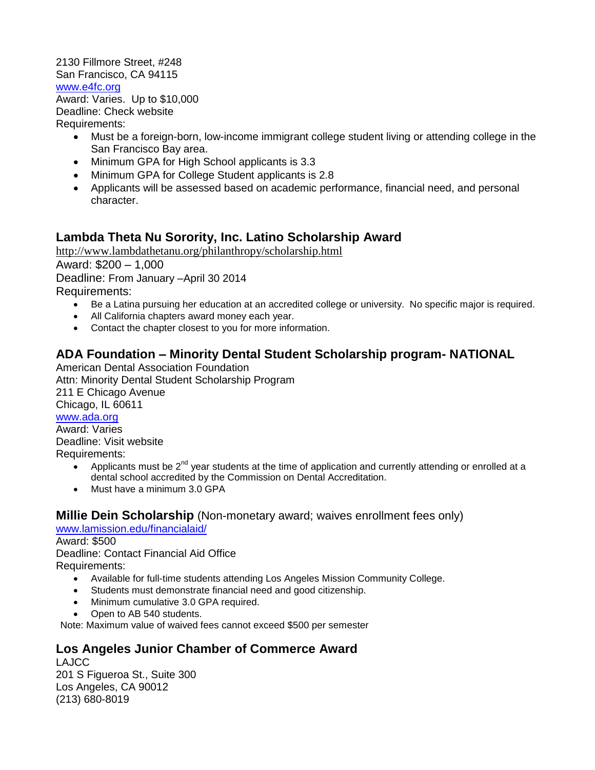#### 2130 Fillmore Street, #248 San Francisco, CA 94115 [www.e4fc.org](http://www.e4fc.org/)

Award: Varies. Up to \$10,000 Deadline: Check website Requirements:

- Must be a foreign-born, low-income immigrant college student living or attending college in the San Francisco Bay area.
- Minimum GPA for High School applicants is 3.3
- Minimum GPA for College Student applicants is 2.8
- Applicants will be assessed based on academic performance, financial need, and personal character.

# **Lambda Theta Nu Sorority, Inc. Latino Scholarship Award**

<http://www.lambdathetanu.org/philanthropy/scholarship.html> Award: \$200 – 1,000 Deadline: From January –April 30 2014 Requirements:

- Be a Latina pursuing her education at an accredited college or university. No specific major is required.
- All California chapters award money each year.
- Contact the chapter closest to you for more information.

# **ADA Foundation – Minority Dental Student Scholarship program- NATIONAL**

American Dental Association Foundation Attn: Minority Dental Student Scholarship Program 211 E Chicago Avenue Chicago, IL 60611 [www.ada.org](http://www.ada.org/) Award: Varies Deadline: Visit website

Requirements:

- Applicants must be  $2^{nd}$  year students at the time of application and currently attending or enrolled at a dental school accredited by the Commission on Dental Accreditation.
- Must have a minimum 3.0 GPA

#### **Millie Dein Scholarship** (Non-monetary award; waives enrollment fees only)

[www.lamission.edu/financialaid/](http://www.lamission.edu/financialaid/)

#### Award: \$500

Deadline: Contact Financial Aid Office Requirements:

- Available for full-time students attending Los Angeles Mission Community College.
- Students must demonstrate financial need and good citizenship.
- Minimum cumulative 3.0 GPA required.
- Open to AB 540 students.

Note: Maximum value of waived fees cannot exceed \$500 per semester

# **Los Angeles Junior Chamber of Commerce Award**

LAJCC 201 S Figueroa St., Suite 300 Los Angeles, CA 90012 (213) 680-8019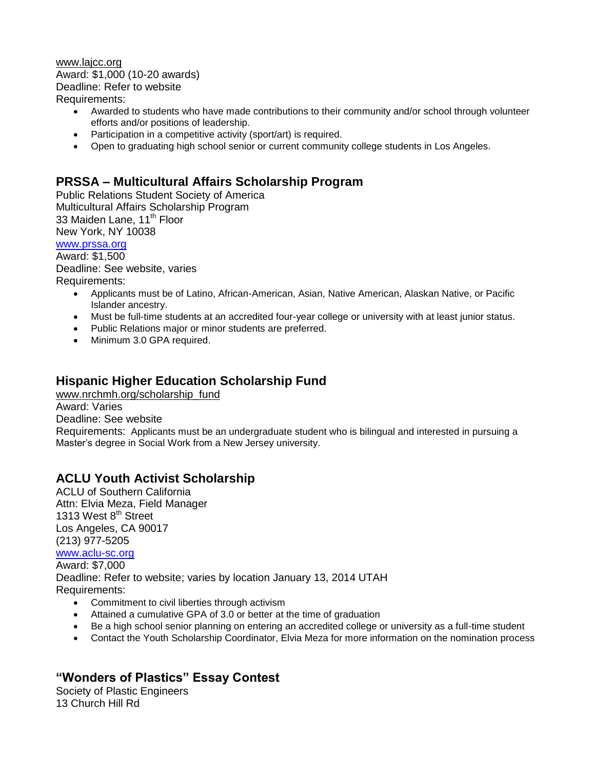[www.lajcc.org](http://www.lajcc.org/) Award: \$1,000 (10-20 awards) Deadline: Refer to website Requirements:

- Awarded to students who have made contributions to their community and/or school through volunteer efforts and/or positions of leadership.
- Participation in a competitive activity (sport/art) is required.
- Open to graduating high school senior or current community college students in Los Angeles.

## **PRSSA – Multicultural Affairs Scholarship Program**

Public Relations Student Society of America Multicultural Affairs Scholarship Program 33 Maiden Lane, 11<sup>th</sup> Floor New York, NY 10038

[www.prssa.org](http://www.prssa.org/)

Award: \$1,500

Deadline: See website, varies

Requirements:

- Applicants must be of Latino, African-American, Asian, Native American, Alaskan Native, or Pacific Islander ancestry.
- Must be full-time students at an accredited four-year college or university with at least junior status.
- Public Relations major or minor students are preferred.
- Minimum 3.0 GPA required.

# **Hispanic Higher Education Scholarship Fund**

[www.nrchmh.org/scholarship\\_fund](http://www.nrchmh.org/scholarship_fund)

Award: Varies

Deadline: See website

Requirements: Applicants must be an undergraduate student who is bilingual and interested in pursuing a Master's degree in Social Work from a New Jersey university.

# **ACLU Youth Activist Scholarship**

ACLU of Southern California Attn: Elvia Meza, Field Manager 1313 West 8<sup>th</sup> Street Los Angeles, CA 90017 (213) 977-5205 [www.aclu-sc.org](mailto:emeza@aclu-sc.org) Award: \$7,000 Deadline: Refer to website; varies by location January 13, 2014 UTAH Requirements:

- Commitment to civil liberties through activism
- Attained a cumulative GPA of 3.0 or better at the time of graduation
- Be a high school senior planning on entering an accredited college or university as a full-time student
- Contact the Youth Scholarship Coordinator, Elvia Meza for more information on the nomination process

# **"Wonders of Plastics" Essay Contest**

Society of Plastic Engineers 13 Church Hill Rd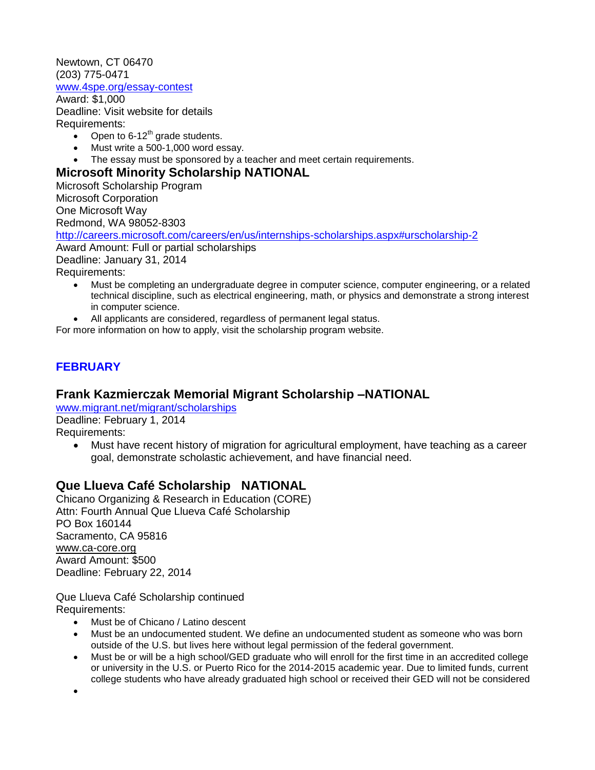Newtown, CT 06470 (203) 775-0471 [www.4spe.org/essay-contest](http://www.4spe.org/essay-contest)

Award: \$1,000 Deadline: Visit website for details Requirements:

- Open to  $6-12^{th}$  grade students.
- Must write a 500-1,000 word essay.
- The essay must be sponsored by a teacher and meet certain requirements.

#### **Microsoft Minority Scholarship NATIONAL**

Microsoft Scholarship Program Microsoft Corporation One Microsoft Way Redmond, WA 98052-8303 <http://careers.microsoft.com/careers/en/us/internships-scholarships.aspx#urscholarship-2> Award Amount: Full or partial scholarships Deadline: January 31, 2014 Requirements: Must be completing an undergraduate degree in computer science, computer engineering, or a related

- technical discipline, such as electrical engineering, math, or physics and demonstrate a strong interest in computer science.
- All applicants are considered, regardless of permanent legal status.

For more information on how to apply, visit the scholarship program website.

# **FEBRUARY**

# **Frank Kazmierczak Memorial Migrant Scholarship –NATIONAL**

[www.migrant.net/migrant/scholarships](http://www.migrant.net/migrant/scholarships) Deadline: February 1, 2014 Requirements:

 Must have recent history of migration for agricultural employment, have teaching as a career goal, demonstrate scholastic achievement, and have financial need.

# **Que Llueva Café Scholarship NATIONAL**

Chicano Organizing & Research in Education (CORE) Attn: Fourth Annual Que Llueva Café Scholarship PO Box 160144 Sacramento, CA 95816 [www.ca-core.org](http://www.ca-core.org/) Award Amount: \$500 Deadline: February 22, 2014

Que Llueva Café Scholarship continued Requirements:

- Must be of Chicano / Latino descent
- Must be an undocumented student. We define an undocumented student as someone who was born outside of the U.S. but lives here without legal permission of the federal government.
- Must be or will be a high school/GED graduate who will enroll for the first time in an accredited college or university in the U.S. or Puerto Rico for the 2014-2015 academic year. Due to limited funds, current college students who have already graduated high school or received their GED will not be considered

 $\bullet$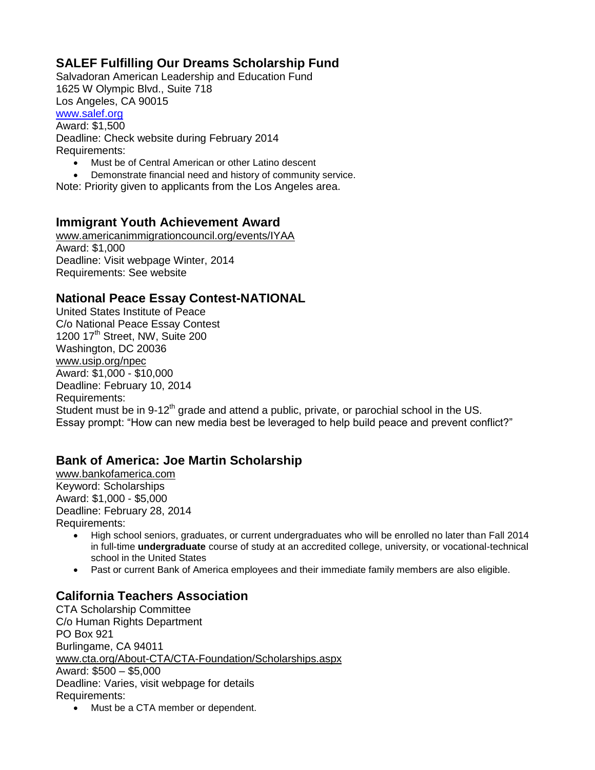# **SALEF Fulfilling Our Dreams Scholarship Fund**

Salvadoran American Leadership and Education Fund 1625 W Olympic Blvd., Suite 718 Los Angeles, CA 90015 [www.salef.org](http://www.salef.org/)

Award: \$1,500 Deadline: Check website during February 2014 Requirements:

- Must be of Central American or other Latino descent
- Demonstrate financial need and history of community service.
- Note: Priority given to applicants from the Los Angeles area.

#### **Immigrant Youth Achievement Award**

[www.americanimmigrationcouncil.org/events/IYAA](http://www.americanimmigrationcouncil.org/events/IYAA) Award: \$1,000 Deadline: Visit webpage Winter, 2014 Requirements: See website

#### **National Peace Essay Contest-NATIONAL**

United States Institute of Peace C/o National Peace Essay Contest 1200 17<sup>th</sup> Street, NW, Suite 200 Washington, DC 20036 [www.usip.org/npec](http://www.usip.org/npec) Award: \$1,000 - \$10,000 Deadline: February 10, 2014 Requirements: Student must be in 9-12<sup>th</sup> grade and attend a public, private, or parochial school in the US. Essay prompt: "How can new media best be leveraged to help build peace and prevent conflict?"

#### **Bank of America: Joe Martin Scholarship**

[www.bankofamerica.com](http://www.bankofamerica.com/) Keyword: Scholarships Award: \$1,000 - \$5,000 Deadline: February 28, 2014 Requirements:

- High school seniors, graduates, or current undergraduates who will be enrolled no later than Fall 2014 in full-time **undergraduate** course of study at an accredited college, university, or vocational-technical school in the United States
- Past or current Bank of America employees and their immediate family members are also eligible.

#### **California Teachers Association**

CTA Scholarship Committee C/o Human Rights Department PO Box 921 Burlingame, CA 94011 [www.cta.org/About-CTA/CTA-Foundation/Scholarships.aspx](http://www.cta.org/About-CTA/CTA-Foundation/Scholarships.aspx) Award: \$500 – \$5,000 Deadline: Varies, visit webpage for details Requirements:

• Must be a CTA member or dependent.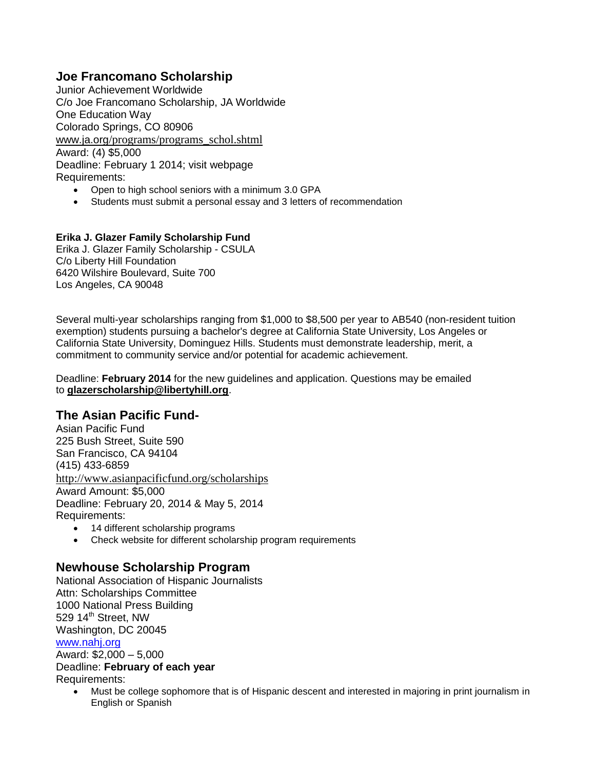# **Joe Francomano Scholarship**

Junior Achievement Worldwide C/o Joe Francomano Scholarship, JA Worldwide One Education Way Colorado Springs, CO 80906 www.ja.org[/programs/programs\\_schol.shtml](http://www.ja.org/programs/programs_schol.shtml) Award: (4) \$5,000 Deadline: February 1 2014; visit webpage Requirements:

- Open to high school seniors with a minimum 3.0 GPA
- Students must submit a personal essay and 3 letters of recommendation

#### **Erika J. Glazer Family Scholarship Fund**

Erika J. Glazer Family Scholarship - CSULA C/o Liberty Hill Foundation 6420 Wilshire Boulevard, Suite 700 Los Angeles, CA 90048

Several multi-year scholarships ranging from \$1,000 to \$8,500 per year to AB540 (non-resident tuition exemption) students pursuing a bachelor's degree at California State University, Los Angeles or California State University, Dominguez Hills. Students must demonstrate leadership, merit, a commitment to community service and/or potential for academic achievement.

Deadline: **February 2014** for the new guidelines and application. Questions may be emailed to **[glazerscholarship@libertyhill.org](mailto:glazerscholarship@libertyhill.org)**.

#### **The Asian Pacific Fund-**

Asian Pacific Fund 225 Bush Street, Suite 590 San Francisco, CA 94104 (415) 433-6859 <http://www.asianpacificfund.org/scholarships> Award Amount: \$5,000 Deadline: February 20, 2014 & May 5, 2014 Requirements:

- 14 different scholarship programs
- Check website for different scholarship program requirements

#### **Newhouse Scholarship Program**

National Association of Hispanic Journalists Attn: Scholarships Committee 1000 National Press Building 529 14<sup>th</sup> Street, NW Washington, DC 20045 [www.nahj.org](http://www.nahj.org/)

Award: \$2,000 – 5,000 Deadline: **February of each year** Requirements:

 Must be college sophomore that is of Hispanic descent and interested in majoring in print journalism in English or Spanish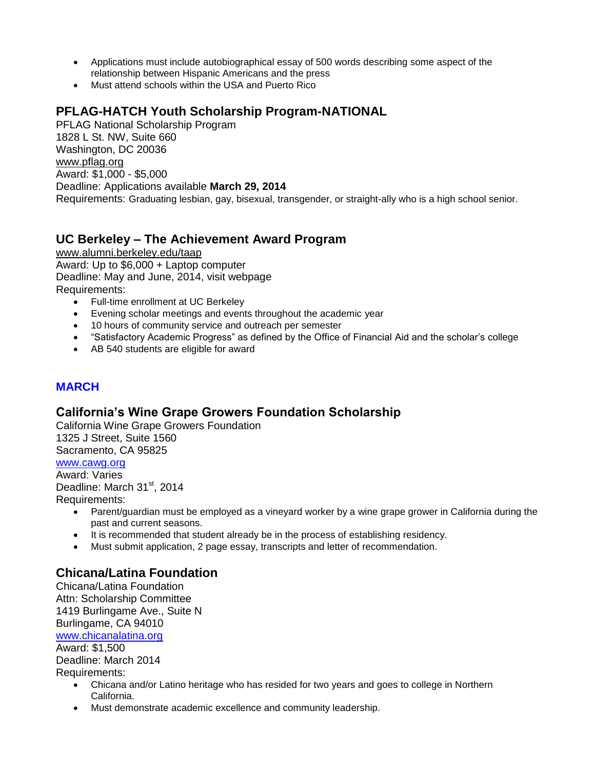- Applications must include autobiographical essay of 500 words describing some aspect of the relationship between Hispanic Americans and the press
- Must attend schools within the USA and Puerto Rico

# **PFLAG-HATCH Youth Scholarship Program-NATIONAL**

PFLAG National Scholarship Program 1828 L St. NW, Suite 660 Washington, DC 20036 [www.pflag.org](http://www.pflag.org/) Award: \$1,000 - \$5,000 Deadline: Applications available **March 29, 2014** Requirements: Graduating lesbian, gay, bisexual, transgender, or straight-ally who is a high school senior.

#### **UC Berkeley – The Achievement Award Program**

[www.alumni.berkeley.edu/taap](http://www.alumni.berkeley.edu/taap) Award: Up to \$6,000 + Laptop computer Deadline: May and June, 2014, visit webpage Requirements:

- Full-time enrollment at UC Berkeley
- Evening scholar meetings and events throughout the academic year
- 10 hours of community service and outreach per semester
- "Satisfactory Academic Progress" as defined by the Office of Financial Aid and the scholar's college
- AB 540 students are eligible for award

#### **MARCH**

#### **California's Wine Grape Growers Foundation Scholarship**

California Wine Grape Growers Foundation 1325 J Street, Suite 1560 Sacramento, CA 95825

#### [www.cawg.org](http://www.cawg.org/) Award: Varies

Deadline: March 31<sup>st</sup>, 2014 Requirements:

- Parent/guardian must be employed as a vineyard worker by a wine grape grower in California during the past and current seasons.
- It is recommended that student already be in the process of establishing residency.
- Must submit application, 2 page essay, transcripts and letter of recommendation.

# **Chicana/Latina Foundation**

Chicana/Latina Foundation Attn: Scholarship Committee 1419 Burlingame Ave., Suite N Burlingame, CA 94010 [www.chicanalatina.org](http://www.chicanalatina.org/) Award: \$1,500 Deadline: March 2014 Requirements:

- Chicana and/or Latino heritage who has resided for two years and goes to college in Northern California.
- Must demonstrate academic excellence and community leadership.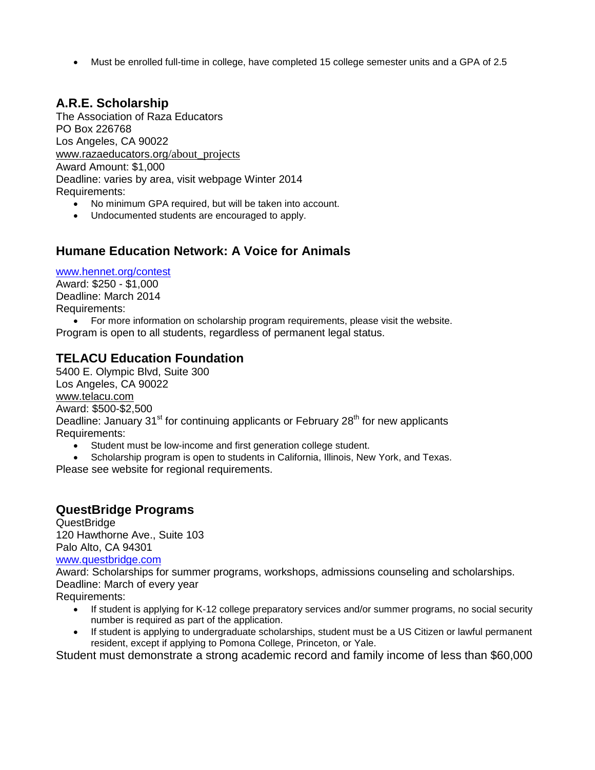Must be enrolled full-time in college, have completed 15 college semester units and a GPA of 2.5

# **A.R.E. Scholarship**

The Association of Raza Educators PO Box 226768 Los Angeles, CA 90022 [www.razaeducators.org](http://www.razaeducators.org/about_projects)/about\_projects Award Amount: \$1,000 Deadline: varies by area, visit webpage Winter 2014 Requirements:

- No minimum GPA required, but will be taken into account.
- Undocumented students are encouraged to apply.

#### **Humane Education Network: A Voice for Animals**

[www.hennet.org/contest](http://www.hennet.org/contest)

Award: \$250 - \$1,000 Deadline: March 2014 Requirements:

 For more information on scholarship program requirements, please visit the website. Program is open to all students, regardless of permanent legal status.

# **TELACU Education Foundation**

5400 E. Olympic Blvd, Suite 300 Los Angeles, CA 90022 [www.telacu.com](http://www.telacu.com/) Award: \$500-\$2,500 Deadline: January 31<sup>st</sup> for continuing applicants or February 28<sup>th</sup> for new applicants Requirements:

Student must be low-income and first generation college student.

• Scholarship program is open to students in California, Illinois, New York, and Texas.

Please see website for regional requirements.

# **QuestBridge Programs**

QuestBridge 120 Hawthorne Ave., Suite 103 Palo Alto, CA 94301

[www.questbridge.com](http://www.questbridge.com/)

Award: Scholarships for summer programs, workshops, admissions counseling and scholarships. Deadline: March of every year

Requirements:

- If student is applying for K-12 college preparatory services and/or summer programs, no social security number is required as part of the application.
- If student is applying to undergraduate scholarships, student must be a US Citizen or lawful permanent resident, except if applying to Pomona College, Princeton, or Yale.

Student must demonstrate a strong academic record and family income of less than \$60,000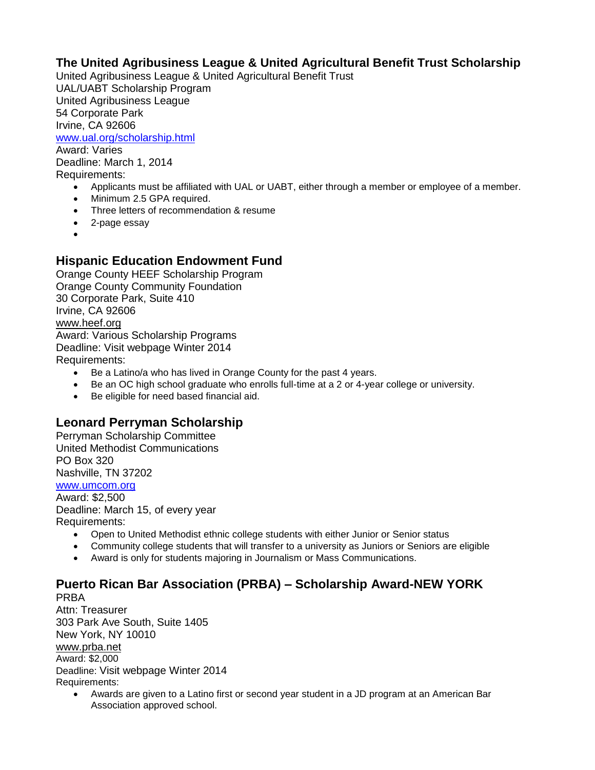#### **The United Agribusiness League & United Agricultural Benefit Trust Scholarship**

United Agribusiness League & United Agricultural Benefit Trust UAL/UABT Scholarship Program United Agribusiness League 54 Corporate Park Irvine, CA 92606 [www.ual.org/scholarship.html](http://www.ual.org/scholarship.html) Award: Varies Deadline: March 1, 2014 Requirements: Applicants must be affiliated with UAL or UABT, either through a member or employee of a member.

- Minimum 2.5 GPA required.
- Three letters of recommendation & resume
- 2-page essay
- $\bullet$

# **Hispanic Education Endowment Fund**

Orange County HEEF Scholarship Program Orange County Community Foundation 30 Corporate Park, Suite 410 Irvine, CA 92606 [www.heef.org](http://www.heef.org/) Award: Various Scholarship Programs

Deadline: Visit webpage Winter 2014 Requirements:

- Be a Latino/a who has lived in Orange County for the past 4 years.
- Be an OC high school graduate who enrolls full-time at a 2 or 4-year college or university.
- Be eligible for need based financial aid.

#### **Leonard Perryman Scholarship**

Perryman Scholarship Committee United Methodist Communications PO Box 320 Nashville, TN 37202 [www.umcom.org](http://www.umcom.org/) Award: \$2,500 Deadline: March 15, of every year Requirements:

- Open to United Methodist ethnic college students with either Junior or Senior status
- Community college students that will transfer to a university as Juniors or Seniors are eligible
- Award is only for students majoring in Journalism or Mass Communications.

#### **Puerto Rican Bar Association (PRBA) – Scholarship Award-NEW YORK** PRBA

Attn: Treasurer 303 Park Ave South, Suite 1405 New York, NY 10010 [www.prba.net](http://www.prba.net/) Award: \$2,000 Deadline: Visit webpage Winter 2014

Requirements:

 Awards are given to a Latino first or second year student in a JD program at an American Bar Association approved school.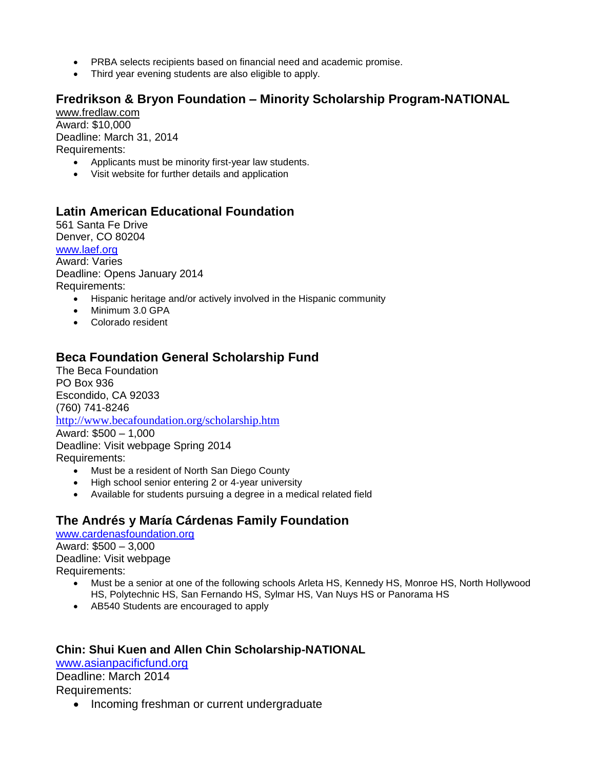- PRBA selects recipients based on financial need and academic promise.
- Third year evening students are also eligible to apply.

#### **Fredrikson & Bryon Foundation – Minority Scholarship Program-NATIONAL**

[www.fredlaw.com](http://www.fredlaw.com/) Award: \$10,000 Deadline: March 31, 2014 Requirements:

- Applicants must be minority first-year law students.
- Visit website for further details and application

#### **Latin American Educational Foundation**

561 Santa Fe Drive Denver, CO 80204 [www.laef.org](http://www.laef.org/) Award: Varies Deadline: Opens January 2014 Requirements:

- Hispanic heritage and/or actively involved in the Hispanic community
- Minimum 3.0 GPA
- Colorado resident

#### **Beca Foundation General Scholarship Fund**

The Beca Foundation PO Box 936 Escondido, CA 92033 (760) 741-8246 <http://www.becafoundation.org/scholarship.htm> Award: \$500 – 1,000 Deadline: Visit webpage Spring 2014 Requirements: • Must be a resident of North San Diego County

- High school senior entering 2 or 4-year university
- Available for students pursuing a degree in a medical related field

# **The Andrés y María Cárdenas Family Foundation**

[www.cardenasfoundation.org](http://www.cardenasfoundation.org/) Award: \$500 – 3,000 Deadline: Visit webpage Requirements:

- Must be a senior at one of the following schools Arleta HS, Kennedy HS, Monroe HS, North Hollywood HS, Polytechnic HS, San Fernando HS, Sylmar HS, Van Nuys HS or Panorama HS
- AB540 Students are encouraged to apply

#### **Chin: Shui Kuen and Allen Chin Scholarship-NATIONAL**

[www.asianpacificfund.org](http://www.asianpacificfund.org/)

Deadline: March 2014 Requirements:

• Incoming freshman or current undergraduate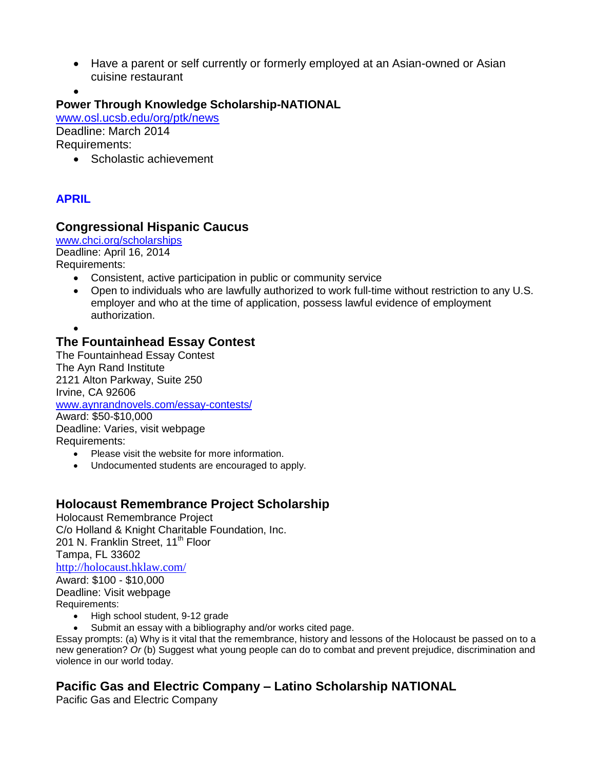- Have a parent or self currently or formerly employed at an Asian-owned or Asian cuisine restaurant
- $\bullet$ **Power Through Knowledge Scholarship-NATIONAL**

[www.osl.ucsb.edu/org/ptk/news](http://www.osl.ucsb.edu/org/ptk/news) Deadline: March 2014 Requirements:

• Scholastic achievement

# **APRIL**

#### **Congressional Hispanic Caucus**

[www.chci.org/scholarships](http://www.chci.org/scholarships)

Deadline: April 16, 2014

Requirements:

- Consistent, active participation in public or community service
- Open to individuals who are lawfully authorized to work full-time without restriction to any U.S. employer and who at the time of application, possess lawful evidence of employment authorization.
- $\bullet$

# **The Fountainhead Essay Contest**

The Fountainhead Essay Contest The Ayn Rand Institute 2121 Alton Parkway, Suite 250 Irvine, CA 92606 [www.aynrandnovels.com/essay-contests/](http://www.aynrandnovels.com/essay-contests/) Award: \$50-\$10,000 Deadline: Varies, visit webpage Requirements:

- Please visit the website for more information.
- Undocumented students are encouraged to apply.

# **Holocaust Remembrance Project Scholarship**

Holocaust Remembrance Project C/o Holland & Knight Charitable Foundation, Inc. 201 N. Franklin Street, 11<sup>th</sup> Floor Tampa, FL 33602 <http://holocaust.hklaw.com/> Award: \$100 - \$10,000 Deadline: Visit webpage Requirements: • High school student, 9-12 grade

Submit an essay with a bibliography and/or works cited page.

Essay prompts: (a) Why is it vital that the remembrance, history and lessons of the Holocaust be passed on to a new generation? *Or* (b) Suggest what young people can do to combat and prevent prejudice, discrimination and violence in our world today.

# **Pacific Gas and Electric Company – Latino Scholarship NATIONAL**

Pacific Gas and Electric Company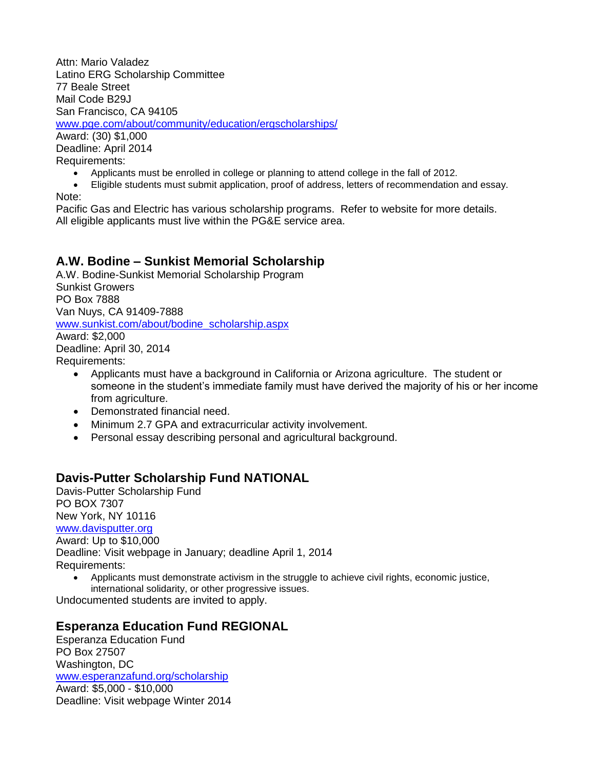Attn: Mario Valadez Latino ERG Scholarship Committee 77 Beale Street Mail Code B29J San Francisco, CA 94105 [www.pge.com/about/community/education/ergscholarships/](http://www.pge.com/about/community/education/ergscholarships/) Award: (30) \$1,000

Deadline: April 2014 Requirements:

- Applicants must be enrolled in college or planning to attend college in the fall of 2012.
- Eligible students must submit application, proof of address, letters of recommendation and essay. Note:

Pacific Gas and Electric has various scholarship programs. Refer to website for more details. All eligible applicants must live within the PG&E service area.

# **A.W. Bodine – Sunkist Memorial Scholarship**

A.W. Bodine-Sunkist Memorial Scholarship Program Sunkist Growers PO Box 7888 Van Nuys, CA 91409-7888 [www.sunkist.com/about/bodine\\_scholarship.aspx](http://www.sunkist.com/about/bodine_scholarship.aspx) Award: \$2,000 Deadline: April 30, 2014

Requirements:

- Applicants must have a background in California or Arizona agriculture. The student or someone in the student's immediate family must have derived the majority of his or her income from agriculture.
- Demonstrated financial need.
- Minimum 2.7 GPA and extracurricular activity involvement.
- Personal essay describing personal and agricultural background.

# **Davis-Putter Scholarship Fund NATIONAL**

Davis-Putter Scholarship Fund PO BOX 7307 New York, NY 10116 [www.davisputter.org](http://www.davisputter.org/) Award: Up to \$10,000 Deadline: Visit webpage in January; deadline April 1, 2014 Requirements:

 Applicants must demonstrate activism in the struggle to achieve civil rights, economic justice, international solidarity, or other progressive issues.

Undocumented students are invited to apply.

#### **Esperanza Education Fund REGIONAL**

Esperanza Education Fund PO Box 27507 Washington, DC [www.esperanzafund.org/scholarship](http://www.esperanzafund.org/scholarship) Award: \$5,000 - \$10,000 Deadline: Visit webpage Winter 2014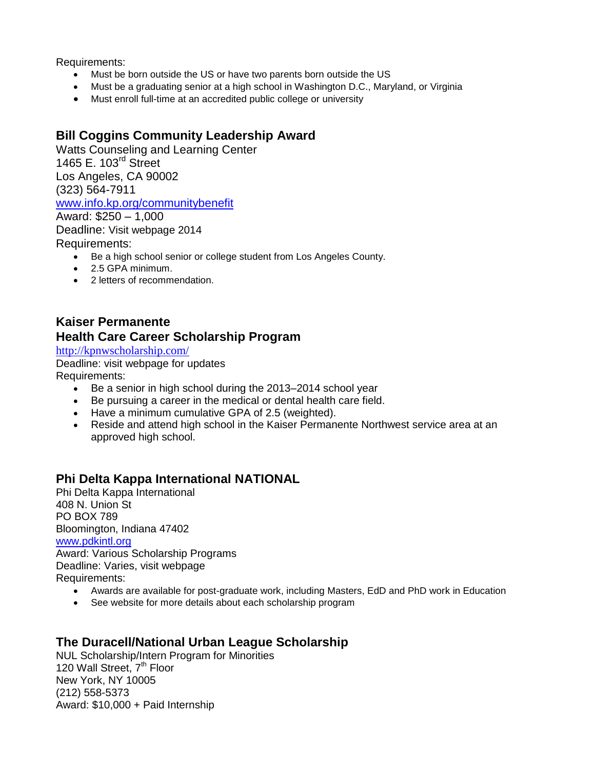Requirements:

- Must be born outside the US or have two parents born outside the US
- Must be a graduating senior at a high school in Washington D.C., Maryland, or Virginia
- Must enroll full-time at an accredited public college or university

# **Bill Coggins Community Leadership Award**

Watts Counseling and Learning Center 1465 E. 103<sup>rd</sup> Street Los Angeles, CA 90002 (323) 564-7911 [www.info.kp.org/communitybenefit](http://www.info.kp.org/communitybenefit)

Award: \$250 – 1,000 Deadline: Visit webpage 2014 Requirements:

- Be a high school senior or college student from Los Angeles County.
- 2.5 GPA minimum.
- 2 letters of recommendation.

#### **Kaiser Permanente Health Care Career Scholarship Program**

<http://kpnwscholarship.com/>

Deadline: visit webpage for updates Requirements:

- Be a senior in high school during the 2013–2014 school year
- Be pursuing a career in the medical or dental health care field.
- Have a minimum cumulative GPA of 2.5 (weighted).
- Reside and attend high school in the Kaiser Permanente Northwest service area at an approved high school.

#### **Phi Delta Kappa International NATIONAL**

Phi Delta Kappa International 408 N. Union St PO BOX 789 Bloomington, Indiana 47402 [www.pdkintl.org](http://www.pdkintl.org/) Award: Various Scholarship Programs Deadline: Varies, visit webpage Requirements:

- Awards are available for post-graduate work, including Masters, EdD and PhD work in Education
- See website for more details about each scholarship program

#### **The Duracell/National Urban League Scholarship**

NUL Scholarship/Intern Program for Minorities 120 Wall Street, 7<sup>th</sup> Floor New York, NY 10005 (212) 558-5373 Award: \$10,000 + Paid Internship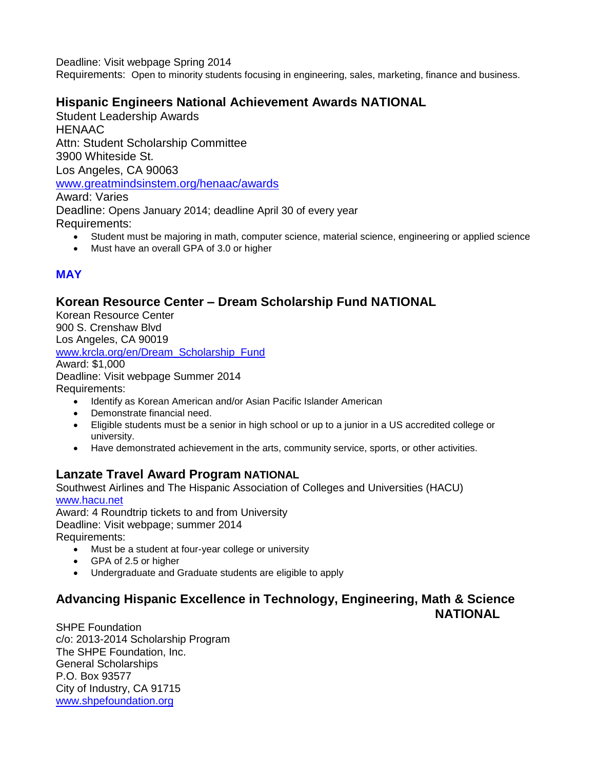Deadline: Visit webpage Spring 2014

Requirements: Open to minority students focusing in engineering, sales, marketing, finance and business.

# **Hispanic Engineers National Achievement Awards NATIONAL**

Student Leadership Awards **HENAAC** Attn: Student Scholarship Committee 3900 Whiteside St. Los Angeles, CA 90063 [www.greatmindsinstem.org/henaac/awards](http://www.greatmindsinstem.org/henaac/awards) Award: Varies Deadline: Opens January 2014; deadline April 30 of every year Requirements:

- Student must be majoring in math, computer science, material science, engineering or applied science
- Must have an overall GPA of 3.0 or higher

# **MAY**

#### **Korean Resource Center – Dream Scholarship Fund NATIONAL**

Korean Resource Center 900 S. Crenshaw Blvd Los Angeles, CA 90019 [www.krcla.org/en/Dream\\_Scholarship\\_Fund](http://www.krcla.org/en/Dream_Scholarship_Fund) Award: \$1,000 Deadline: Visit webpage Summer 2014 Requirements: • Identify as Korean American and/or Asian Pacific Islander American

- Demonstrate financial need.
- Eligible students must be a senior in high school or up to a junior in a US accredited college or university.
- Have demonstrated achievement in the arts, community service, sports, or other activities.

# **Lanzate Travel Award Program NATIONAL**

Southwest Airlines and The Hispanic Association of Colleges and Universities (HACU) [www.hacu.net](http://www.hacu.net/)

Award: 4 Roundtrip tickets to and from University Deadline: Visit webpage; summer 2014 Requirements:

- Must be a student at four-year college or university
- GPA of 2.5 or higher
- Undergraduate and Graduate students are eligible to apply

#### **Advancing Hispanic Excellence in Technology, Engineering, Math & Science NATIONAL**

SHPE Foundation c/o: 2013-2014 Scholarship Program The SHPE Foundation, Inc. General Scholarships P.O. Box 93577 City of Industry, CA 91715 [www.shpefoundation.org](http://www.shpefoundation.org/)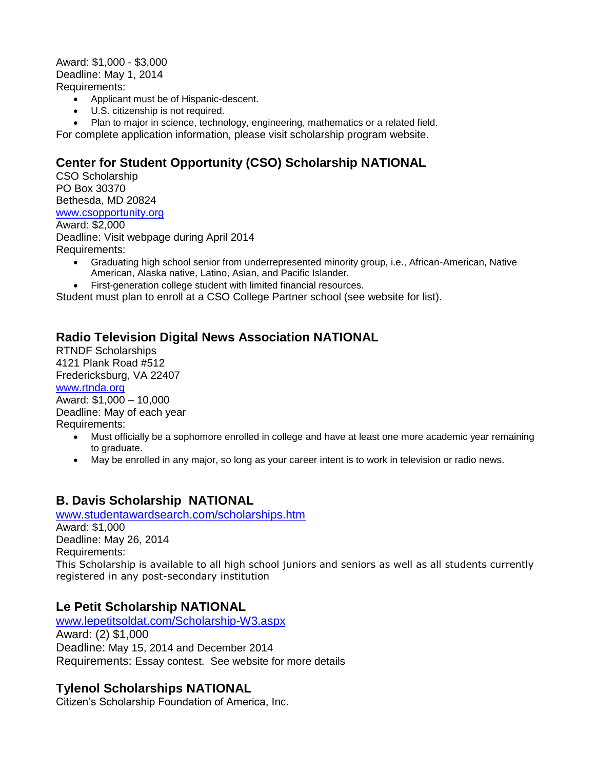Award: \$1,000 - \$3,000 Deadline: May 1, 2014 Requirements:

- Applicant must be of Hispanic-descent.
- U.S. citizenship is not required.
- Plan to major in science, technology, engineering, mathematics or a related field.

For complete application information, please visit scholarship program website.

# **Center for Student Opportunity (CSO) Scholarship NATIONAL**

CSO Scholarship PO Box 30370 Bethesda, MD 20824 [www.csopportunity.org](http://www.csopportunity.org/)

Award: \$2,000 Deadline: Visit webpage during April 2014 Requirements:

- Graduating high school senior from underrepresented minority group, i.e., African-American, Native American, Alaska native, Latino, Asian, and Pacific Islander.
- First-generation college student with limited financial resources.

Student must plan to enroll at a CSO College Partner school (see website for list).

#### **Radio Television Digital News Association NATIONAL**

RTNDF Scholarships 4121 Plank Road #512 Fredericksburg, VA 22407 [www.rtnda.org](http://www.rtnda.org/) Award: \$1,000 – 10,000 Deadline: May of each year

Requirements:

- Must officially be a sophomore enrolled in college and have at least one more academic year remaining to graduate.
- May be enrolled in any major, so long as your career intent is to work in television or radio news.

#### **B. Davis Scholarship NATIONAL**

[www.studentawardsearch.com/scholarships.htm](http://www.studentawardsearch.com/scholarships.htm) Award: \$1,000

Deadline: May 26, 2014 Requirements: This Scholarship is available to all high school juniors and seniors as well as all students currently registered in any post-secondary institution

#### **Le Petit Scholarship NATIONAL**

[www.lepetitsoldat.com/Scholarship-W3.aspx](http://www.lepetitsoldat.com/Scholarship-W3.aspx) Award: (2) \$1,000 Deadline: May 15, 2014 and December 2014 Requirements: Essay contest. See website for more details

#### **Tylenol Scholarships NATIONAL**

Citizen's Scholarship Foundation of America, Inc.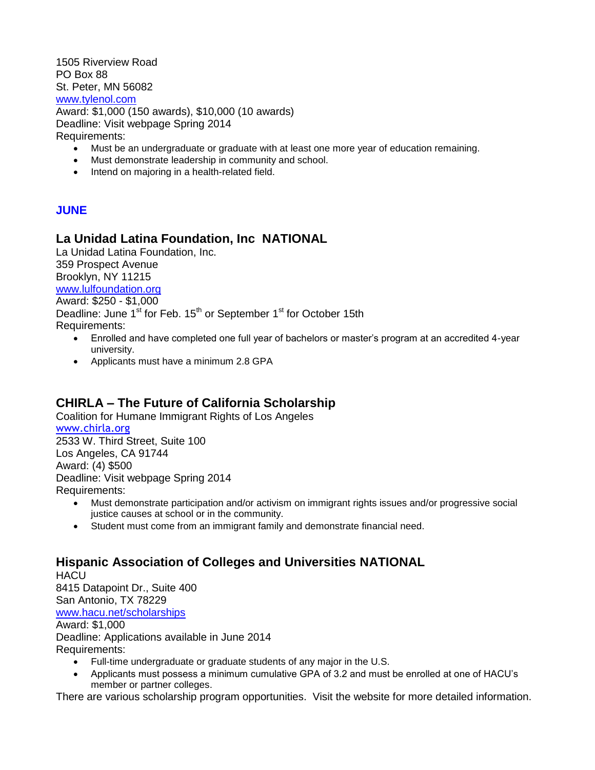1505 Riverview Road PO Box 88 St. Peter, MN 56082 [www.tylenol.com](http://www.tylenol.com/) Award: \$1,000 (150 awards), \$10,000 (10 awards) Deadline: Visit webpage Spring 2014

Requirements:

- Must be an undergraduate or graduate with at least one more year of education remaining.
- Must demonstrate leadership in community and school.
- Intend on majoring in a health-related field.

#### **JUNE**

#### **La Unidad Latina Foundation, Inc NATIONAL**

La Unidad Latina Foundation, Inc. 359 Prospect Avenue Brooklyn, NY 11215 [www.lulfoundation.org](http://www.lulfoundation.org/) Award: \$250 - \$1,000 Deadline: June 1<sup>st</sup> for Feb. 15<sup>th</sup> or September 1<sup>st</sup> for October 15th Requirements:

- Enrolled and have completed one full year of bachelors or master's program at an accredited 4-year university.
- Applicants must have a minimum 2.8 GPA

#### **CHIRLA – The Future of California Scholarship**

Coalition for Humane Immigrant Rights of Los Angeles [www.chirla.org](http://www.chirla.org/) 2533 W. Third Street, Suite 100 Los Angeles, CA 91744 Award: (4) \$500 Deadline: Visit webpage Spring 2014 Requirements:

- Must demonstrate participation and/or activism on immigrant rights issues and/or progressive social justice causes at school or in the community.
- Student must come from an immigrant family and demonstrate financial need.

#### **Hispanic Association of Colleges and Universities NATIONAL HACU**

8415 Datapoint Dr., Suite 400 San Antonio, TX 78229 [www.hacu.net/scholarships](http://www.hacu.net/scholarships)

Award: \$1,000

Deadline: Applications available in June 2014

Requirements:

- Full-time undergraduate or graduate students of any major in the U.S.
- Applicants must possess a minimum cumulative GPA of 3.2 and must be enrolled at one of HACU's member or partner colleges.

There are various scholarship program opportunities. Visit the website for more detailed information.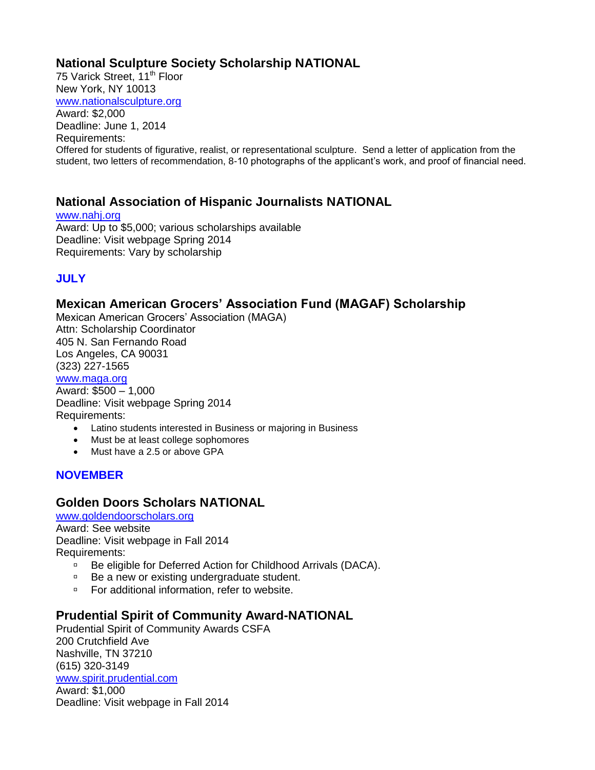# **National Sculpture Society Scholarship NATIONAL**

75 Varick Street, 11<sup>th</sup> Floor New York, NY 10013 [www.nationalsculpture.org](http://www.nationalsculpture.org/) Award: \$2,000 Deadline: June 1, 2014 Requirements: Offered for students of figurative, realist, or representational sculpture. Send a letter of application from the student, two letters of recommendation, 8-10 photographs of the applicant's work, and proof of financial need.

# **National Association of Hispanic Journalists NATIONAL**

[www.nahj.org](http://www.nahj.org/) Award: Up to \$5,000; various scholarships available Deadline: Visit webpage Spring 2014 Requirements: Vary by scholarship

# **JULY**

# **Mexican American Grocers' Association Fund (MAGAF) Scholarship**

Mexican American Grocers' Association (MAGA) Attn: Scholarship Coordinator 405 N. San Fernando Road Los Angeles, CA 90031 (323) 227-1565 [www.maga.org](http://www.maga.org/)

Award: \$500 – 1,000 Deadline: Visit webpage Spring 2014 Requirements:

- Latino students interested in Business or majoring in Business
- Must be at least college sophomores
- Must have a 2.5 or above GPA

#### **NOVEMBER**

# **Golden Doors Scholars NATIONAL**

[www.goldendoorscholars.org](http://www.goldendoorscholars.org/)

Award: See website Deadline: Visit webpage in Fall 2014 Requirements:

- □ Be eligible for Deferred Action for Childhood Arrivals (DACA).
- □ Be a new or existing undergraduate student.
- □ For additional information, refer to website.

# **Prudential Spirit of Community Award-NATIONAL**

Prudential Spirit of Community Awards CSFA 200 Crutchfield Ave Nashville, TN 37210 (615) 320-3149 [www.spirit.prudential.com](http://www.spirit.prudential.com/)

Award: \$1,000 Deadline: Visit webpage in Fall 2014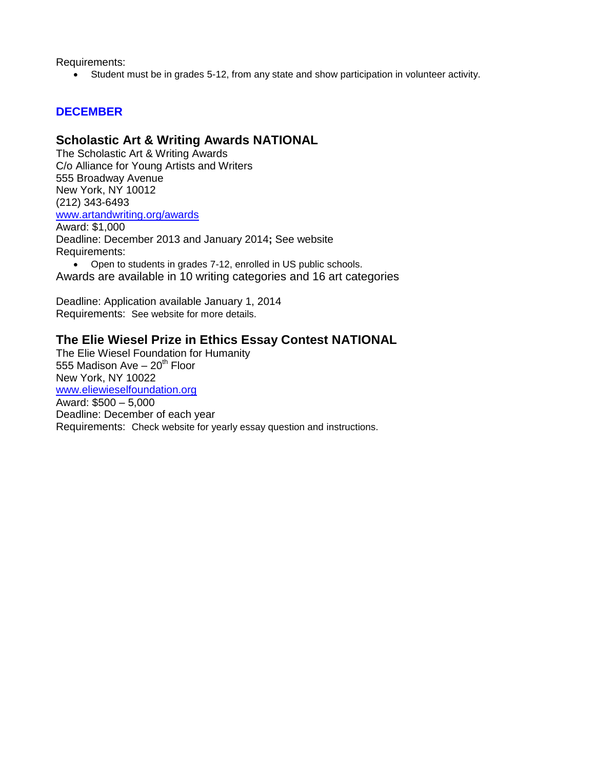Requirements:

Student must be in grades 5-12, from any state and show participation in volunteer activity.

#### **DECEMBER**

#### **Scholastic Art & Writing Awards NATIONAL**

The Scholastic Art & Writing Awards C/o Alliance for Young Artists and Writers 555 Broadway Avenue New York, NY 10012 (212) 343-6493 [www.artandwriting.org/awards](http://www.artandwriting.org/awards) Award: \$1,000

Deadline: December 2013 and January 2014**;** See website Requirements:

 Open to students in grades 7-12, enrolled in US public schools. Awards are available in 10 writing categories and 16 art categories

Deadline: Application available January 1, 2014 Requirements: See website for more details.

#### **The Elie Wiesel Prize in Ethics Essay Contest NATIONAL**

The Elie Wiesel Foundation for Humanity 555 Madison Ave  $-20<sup>th</sup>$  Floor New York, NY 10022 [www.eliewieselfoundation.org](http://www.eliewieselfoundation.org/) Award: \$500 – 5,000 Deadline: December of each year Requirements: Check website for yearly essay question and instructions.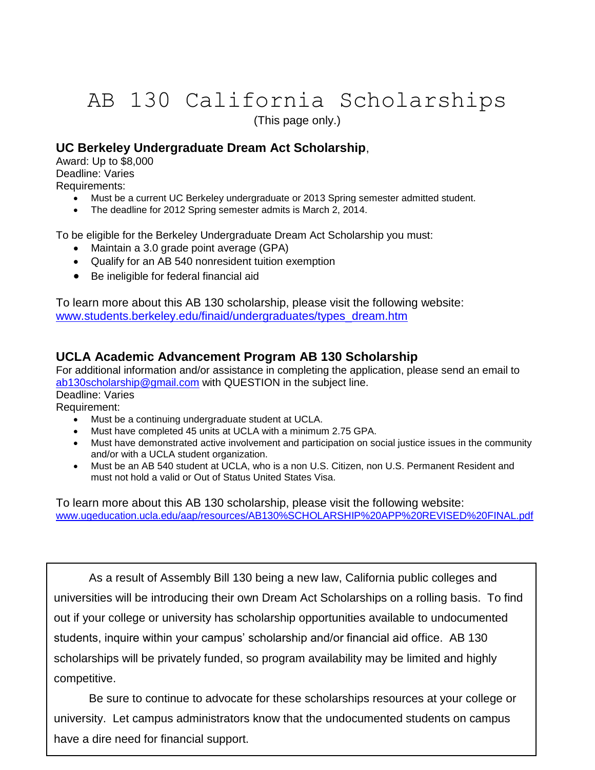# AB 130 California Scholarships

(This page only.)

# **UC Berkeley Undergraduate Dream Act Scholarship**,

Award: Up to \$8,000 Deadline: Varies Requirements:

- Must be a current UC Berkeley undergraduate or 2013 Spring semester admitted student.
- The deadline for 2012 Spring semester admits is March 2, 2014.

To be eligible for the Berkeley Undergraduate Dream Act Scholarship you must:

- Maintain a 3.0 grade point average (GPA)
- Qualify for an AB 540 nonresident tuition exemption
- Be ineligible for federal financial aid

To learn more about this AB 130 scholarship, please visit the following website: [www.students.berkeley.edu/finaid/undergraduates/types\\_dream.htm](http://www.students.berkeley.edu/finaid/undergraduates/types_dream.htm)

#### **UCLA Academic Advancement Program AB 130 Scholarship**

For additional information and/or assistance in completing the application, please send an email to [ab130scholarship@gmail.com](mailto:ab130scholarship@gmail.com) with QUESTION in the subject line.

Deadline: Varies Requirement:

- Must be a continuing undergraduate student at UCLA.
- Must have completed 45 units at UCLA with a minimum 2.75 GPA.
- Must have demonstrated active involvement and participation on social justice issues in the community and/or with a UCLA student organization.
- Must be an AB 540 student at UCLA, who is a non U.S. Citizen, non U.S. Permanent Resident and must not hold a valid or Out of Status United States Visa.

To learn more about this AB 130 scholarship, please visit the following website: [www.ugeducation.ucla.edu/aap/resources/AB130%SCHOLARSHIP%20APP%20REVISED%20FINAL.pdf](http://www.ugeducation.ucla.edu/aap/resources/AB130%25SCHOLARSHIP%20APP%20REVISED%20FINAL.pdf)

As a result of Assembly Bill 130 being a new law, California public colleges and universities will be introducing their own Dream Act Scholarships on a rolling basis. To find out if your college or university has scholarship opportunities available to undocumented students, inquire within your campus' scholarship and/or financial aid office. AB 130 scholarships will be privately funded, so program availability may be limited and highly competitive.

Be sure to continue to advocate for these scholarships resources at your college or university. Let campus administrators know that the undocumented students on campus have a dire need for financial support.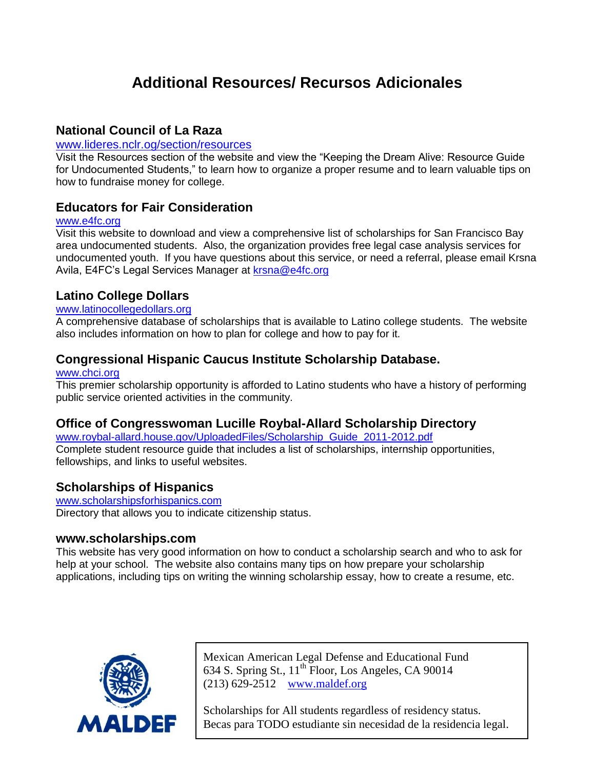# **Additional Resources/ Recursos Adicionales**

#### **National Council of La Raza**

#### [www.lideres.nclr.og/section/resources](http://www.lideres.nclr.og/section/resources)

Visit the Resources section of the website and view the "Keeping the Dream Alive: Resource Guide for Undocumented Students," to learn how to organize a proper resume and to learn valuable tips on how to fundraise money for college.

#### **Educators for Fair Consideration**

#### [www.e4fc.org](http://www.e4fc.org/)

Visit this website to download and view a comprehensive list of scholarships for San Francisco Bay area undocumented students. Also, the organization provides free legal case analysis services for undocumented youth. If you have questions about this service, or need a referral, please email Krsna Avila, E4FC's Legal Services Manager at [krsna@e4fc.org](mailto:krsna@e4fc.org)

#### **Latino College Dollars**

#### [www.latinocollegedollars.org](http://www.latinocollegedollars.org/)

A comprehensive database of scholarships that is available to Latino college students. The website also includes information on how to plan for college and how to pay for it.

#### **Congressional Hispanic Caucus Institute Scholarship Database.**

#### [www.chci.org](http://www.chci.org/)

This premier scholarship opportunity is afforded to Latino students who have a history of performing public service oriented activities in the community.

#### **Office of Congresswoman Lucille Roybal-Allard Scholarship Directory**

[www.roybal-allard.house.gov/UploadedFiles/Scholarship\\_Guide\\_2011-2012.pdf](http://www.roybal-allard.house.gov/UploadedFiles/Scholarship_Guide_2011-2012.pdf) Complete student resource guide that includes a list of scholarships, internship opportunities, fellowships, and links to useful websites.

#### **Scholarships of Hispanics**

[www.scholarshipsforhispanics.com](http://www.scholarshipsforhispanics.com/) Directory that allows you to indicate citizenship status.

#### **www.scholarships.com**

This website has very good information on how to conduct a scholarship search and who to ask for help at your school. The website also contains many tips on how prepare your scholarship applications, including tips on writing the winning scholarship essay, how to create a resume, etc.



Mexican American Legal Defense and Educational Fund 634 S. Spring St.,  $11^{th}$  Floor, Los Angeles, CA 90014 (213) 629-2512 [www.maldef.org](http://www.maldef.org/)

Scholarships for All students regardless of residency status. Becas para TODO estudiante sin necesidad de la residencia legal.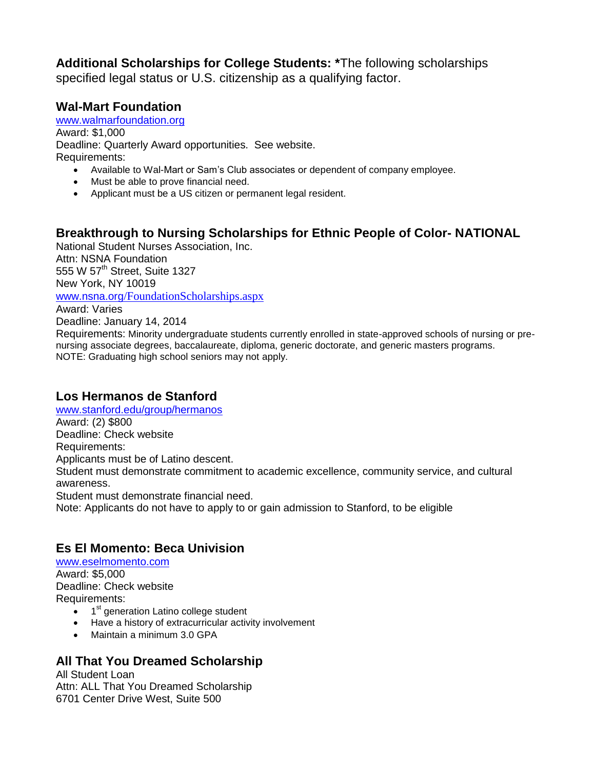**Additional Scholarships for College Students: \***The following scholarships specified legal status or U.S. citizenship as a qualifying factor.

# **Wal-Mart Foundation**

[www.walmarfoundation.org](http://www.walmarfoundation.org/) Award: \$1,000 Deadline: Quarterly Award opportunities. See website. Requirements:

- Available to Wal-Mart or Sam's Club associates or dependent of company employee.
- Must be able to prove financial need.
- Applicant must be a US citizen or permanent legal resident.

# **Breakthrough to Nursing Scholarships for Ethnic People of Color- NATIONAL**

National Student Nurses Association, Inc. Attn: NSNA Foundation 555 W 57<sup>th</sup> Street, Suite 1327 New York, NY 10019

www.nsna.org[/FoundationScholarships.aspx](http://www.nsna.org/FoundationScholarships.aspx)

Award: Varies

Deadline: January 14, 2014

Requirements: Minority undergraduate students currently enrolled in state-approved schools of nursing or prenursing associate degrees, baccalaureate, diploma, generic doctorate, and generic masters programs. NOTE: Graduating high school seniors may not apply.

# **Los Hermanos de Stanford**

[www.stanford.edu/group/hermanos](http://www.stanford.edu/group/hermanos) Award: (2) \$800 Deadline: Check website Requirements: Applicants must be of Latino descent. Student must demonstrate commitment to academic excellence, community service, and cultural awareness. Student must demonstrate financial need. Note: Applicants do not have to apply to or gain admission to Stanford, to be eligible

# **Es El Momento: Beca Univision**

[www.eselmomento.com](http://www.eselmomento.com/) Award: \$5,000 Deadline: Check website Requirements:

- $\bullet$  1<sup>st</sup> generation Latino college student
- Have a history of extracurricular activity involvement
- Maintain a minimum 3.0 GPA

#### **All That You Dreamed Scholarship**

All Student Loan Attn: ALL That You Dreamed Scholarship 6701 Center Drive West, Suite 500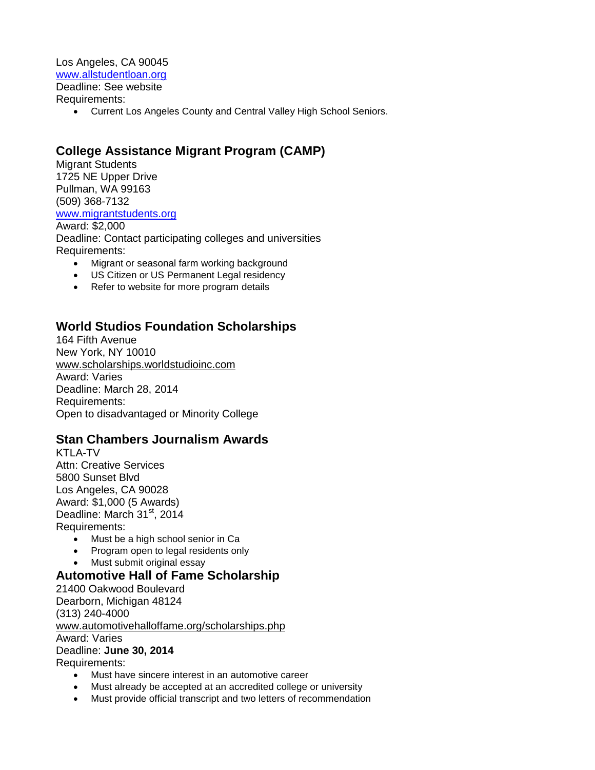Los Angeles, CA 90045 [www.allstudentloan.org](http://www.allstudentloan.org/) Deadline: See website Requirements:

Current Los Angeles County and Central Valley High School Seniors.

#### **College Assistance Migrant Program (CAMP)**

Migrant Students 1725 NE Upper Drive Pullman, WA 99163 (509) 368-7132 [www.migrantstudents.org](http://www.migrantstudents.org/)

Award: \$2,000 Deadline: Contact participating colleges and universities Requirements:

- Migrant or seasonal farm working background
- US Citizen or US Permanent Legal residency
- Refer to website for more program details

#### **World Studios Foundation Scholarships**

164 Fifth Avenue New York, NY 10010 [www.scholarships.worldstudioinc.com](http://www.scholarships.worldstudioinc.com/) Award: Varies Deadline: March 28, 2014 Requirements: Open to disadvantaged or Minority College

#### **Stan Chambers Journalism Awards**

KTLA-TV Attn: Creative Services 5800 Sunset Blvd Los Angeles, CA 90028 Award: \$1,000 (5 Awards) Deadline: March 31<sup>st</sup>, 2014 Requirements:

- Must be a high school senior in Ca
- Program open to legal residents only
- Must submit original essay

#### **Automotive Hall of Fame Scholarship**

21400 Oakwood Boulevard Dearborn, Michigan 48124 (313) 240-4000 [www.automotivehalloffame.org/scholarships.php](http://www.automotivehalloffame.org/scholarships.php) Award: Varies Deadline: **June 30, 2014**

Requirements:

- Must have sincere interest in an automotive career
- Must already be accepted at an accredited college or university
- Must provide official transcript and two letters of recommendation